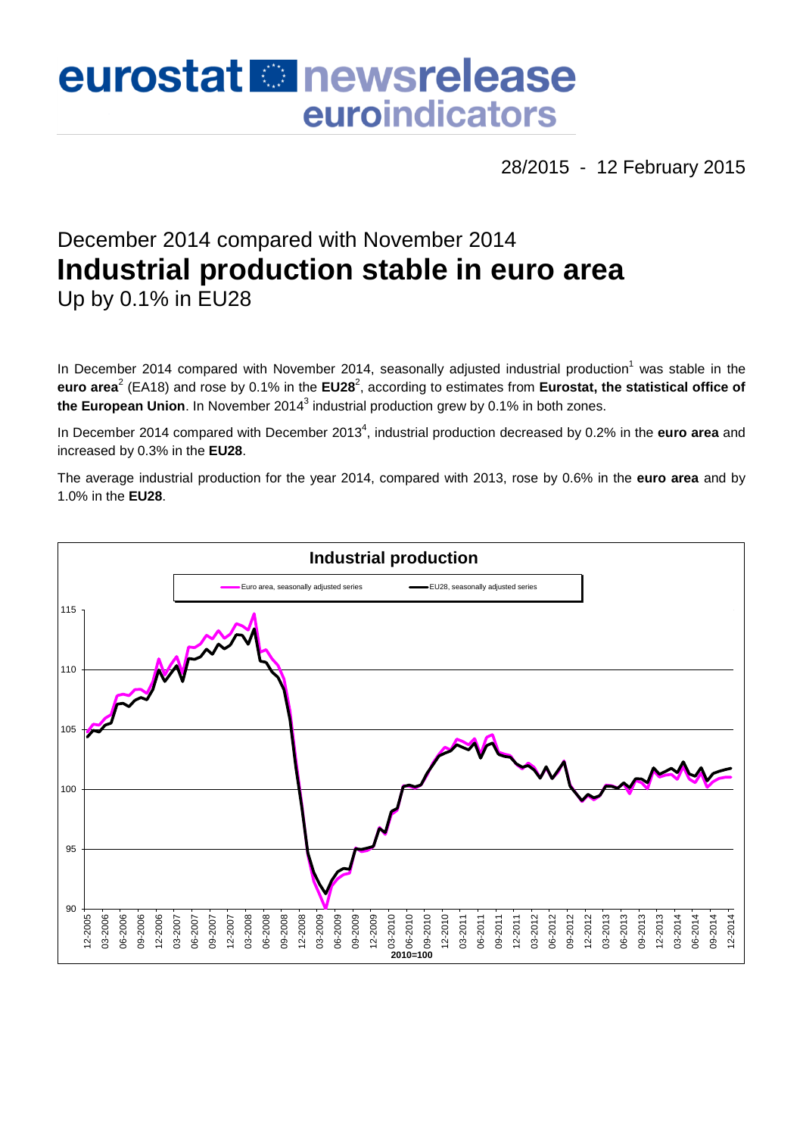# eurostat **Et newsrelease** euroindicators

28/2015 - 12 February 2015

## December 2014 compared with November 2014 **Industrial production stable in euro area** Up by 0.1% in EU28

In December 2014 compared with November 2014, seasonally adjusted industrial production<sup>1</sup> was stable in the euro area<sup>2</sup> (EA18) and rose by 0.1% in the EU28<sup>2</sup>, according to estimates from Eurostat, the statistical office of **the European Union**. In November 2014<sup>3</sup> industrial production grew by 0.1% in both zones.

In December 2014 compared with December 2013<sup>4</sup>, industrial production decreased by 0.2% in the **euro area** and increased by 0.3% in the **EU28**.

The average industrial production for the year 2014, compared with 2013, rose by 0.6% in the **euro area** and by 1.0% in the **EU28**.

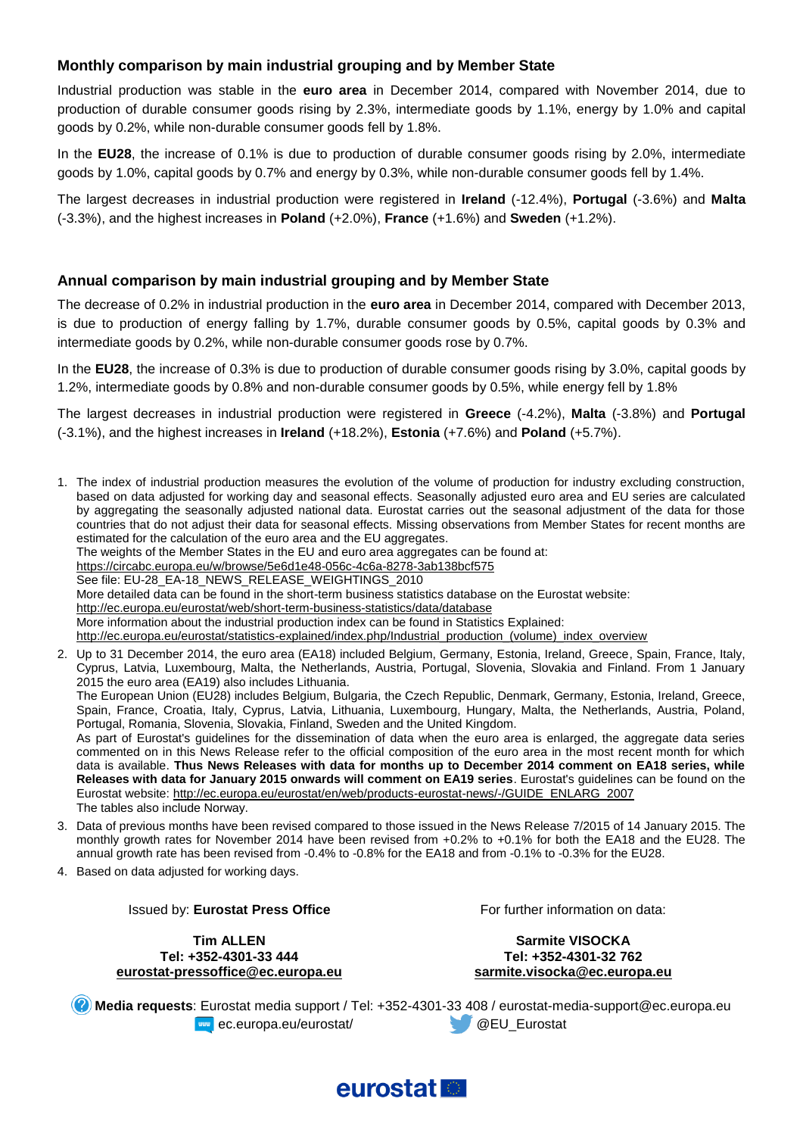#### **Monthly comparison by main industrial grouping and by Member State**

Industrial production was stable in the **euro area** in December 2014, compared with November 2014, due to production of durable consumer goods rising by 2.3%, intermediate goods by 1.1%, energy by 1.0% and capital goods by 0.2%, while non-durable consumer goods fell by 1.8%.

In the **EU28**, the increase of 0.1% is due to production of durable consumer goods rising by 2.0%, intermediate goods by 1.0%, capital goods by 0.7% and energy by 0.3%, while non-durable consumer goods fell by 1.4%.

The largest decreases in industrial production were registered in **Ireland** (-12.4%), **Portugal** (-3.6%) and **Malta** (-3.3%), and the highest increases in **Poland** (+2.0%), **France** (+1.6%) and **Sweden** (+1.2%).

#### **Annual comparison by main industrial grouping and by Member State**

The decrease of 0.2% in industrial production in the **euro area** in December 2014, compared with December 2013, is due to production of energy falling by 1.7%, durable consumer goods by 0.5%, capital goods by 0.3% and intermediate goods by 0.2%, while non-durable consumer goods rose by 0.7%.

In the **EU28**, the increase of 0.3% is due to production of durable consumer goods rising by 3.0%, capital goods by 1.2%, intermediate goods by 0.8% and non-durable consumer goods by 0.5%, while energy fell by 1.8%

The largest decreases in industrial production were registered in **Greece** (-4.2%), **Malta** (-3.8%) and **Portugal** (-3.1%), and the highest increases in **Ireland** (+18.2%), **Estonia** (+7.6%) and **Poland** (+5.7%).

1. The index of industrial production measures the evolution of the volume of production for industry excluding construction, based on data adjusted for working day and seasonal effects. Seasonally adjusted euro area and EU series are calculated by aggregating the seasonally adjusted national data. Eurostat carries out the seasonal adjustment of the data for those countries that do not adjust their data for seasonal effects. Missing observations from Member States for recent months are estimated for the calculation of the euro area and the EU aggregates. The weights of the Member States in the EU and euro area aggregates can be found at: <https://circabc.europa.eu/w/browse/5e6d1e48-056c-4c6a-8278-3ab138bcf575> See file: EU-28\_EA-18\_NEWS\_RELEASE\_WEIGHTINGS\_2010 More detailed data can be found in the short-term business statistics database on the Eurostat website: <http://ec.europa.eu/eurostat/web/short-term-business-statistics/data/database> More information about the industrial production index can be found in Statistics Explained: [http://ec.europa.eu/eurostat/statistics-explained/index.php/Industrial\\_production\\_\(volume\)\\_index\\_overview](http://ec.europa.eu/eurostat/statistics-explained/index.php/Industrial_production_(volume)_index_overview) 2. Up to 31 December 2014, the euro area (EA18) included Belgium, Germany, Estonia, Ireland, Greece, Spain, France, Italy, Cyprus, Latvia, Luxembourg, Malta, the Netherlands, Austria, Portugal, Slovenia, Slovakia and Finland. From 1 January 2015 the euro area (EA19) also includes Lithuania. The European Union (EU28) includes Belgium, Bulgaria, the Czech Republic, Denmark, Germany, Estonia, Ireland, Greece, Spain, France, Croatia, Italy, Cyprus, Latvia, Lithuania, Luxembourg, Hungary, Malta, the Netherlands, Austria, Poland, Portugal, Romania, Slovenia, Slovakia, Finland, Sweden and the United Kingdom.

As part of Eurostat's guidelines for the dissemination of data when the euro area is enlarged, the aggregate data series commented on in this News Release refer to the official composition of the euro area in the most recent month for which data is available. **Thus News Releases with data for months up to December 2014 comment on EA18 series, while Releases with data for January 2015 onwards will comment on EA19 series**. Eurostat's guidelines can be found on the Eurostat website: [http://ec.europa.eu/eurostat/en/web/products-eurostat-news/-/GUIDE\\_ENLARG\\_2007](http://ec.europa.eu/eurostat/en/web/products-eurostat-news/-/GUIDE_ENLARG_2007) The tables also include Norway.

- 3. Data of previous months have been revised compared to those issued in the News Release 7/2015 of 14 January 2015. The monthly growth rates for November 2014 have been revised from +0.2% to +0.1% for both the EA18 and the EU28. The annual growth rate has been revised from -0.4% to -0.8% for the EA18 and from -0.1% to -0.3% for the EU28.
- 4. Based on data adjusted for working days.

Issued by: **Eurostat Press Office**

**Tim ALLEN Tel: +352-4301-33 444 eurostat-pressoffice@ec.europa.eu** For further information on data:

**Sarmite VISOCKA Tel: +352-4301-32 762 sarmite.visocka@ec.europa.eu**

**Media requests**: Eurostat media support / Tel: +352-4301-33 408 / eurostat-media-support@ec.europa.eu **EXAMPLE EXAMPLE 2018 CONTROLLER AND EXAMPLE 2019 CONTROLLER AND AREA CONTROLLER AND AREA CONTROLLER AND AREA CONTROLLER AND AREA CONTROLLER AND AREA CONTROLLER AND AREA CONTROLLER AND AREA CONTROLLER AND AREA CONTROLLER A** 

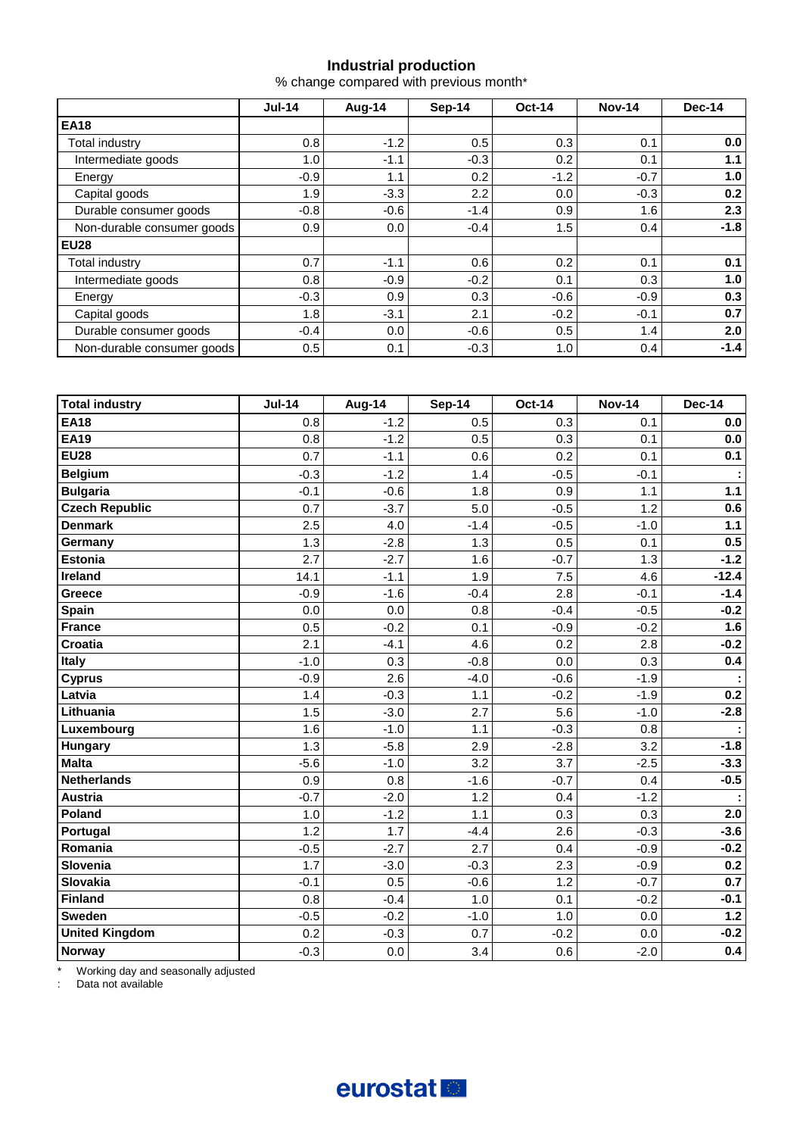#### **Industrial production**

% change compared with previous month\*

|                            | $Jul-14$ | Aug-14  | Sep-14 | <b>Oct-14</b> | <b>Nov-14</b> | Dec-14 |
|----------------------------|----------|---------|--------|---------------|---------------|--------|
| <b>EA18</b>                |          |         |        |               |               |        |
| Total industry             | 0.8      | $-1.2$  | 0.5    | 0.3           | 0.1           | 0.0    |
| Intermediate goods         | 1.0      | $-1.1$  | $-0.3$ | 0.2           | 0.1           | 1.1    |
| Energy                     | $-0.9$   | 1.1     | 0.2    | $-1.2$        | $-0.7$        | 1.0    |
| Capital goods              | 1.9      | $-3.3$  | 2.2    | 0.0           | $-0.3$        | 0.2    |
| Durable consumer goods     | $-0.8$   | $-0.6$  | $-1.4$ | 0.9           | 1.6           | 2.3    |
| Non-durable consumer goods | 0.9      | $0.0\,$ | $-0.4$ | 1.5           | 0.4           | $-1.8$ |
| <b>EU28</b>                |          |         |        |               |               |        |
| Total industry             | 0.7      | $-1.1$  | 0.6    | 0.2           | 0.1           | 0.1    |
| Intermediate goods         | 0.8      | $-0.9$  | $-0.2$ | 0.1           | 0.3           | 1.0    |
| Energy                     | $-0.3$   | 0.9     | 0.3    | $-0.6$        | $-0.9$        | 0.3    |
| Capital goods              | 1.8      | $-3.1$  | 2.1    | $-0.2$        | $-0.1$        | 0.7    |
| Durable consumer goods     | $-0.4$   | 0.0     | $-0.6$ | 0.5           | 1.4           | 2.0    |
| Non-durable consumer goods | 0.5      | 0.1     | $-0.3$ | 1.0           | 0.4           | $-1.4$ |

| <b>Total industry</b> | $Jul-14$ | Aug-14 | <b>Sep-14</b> | <b>Oct-14</b> | <b>Nov-14</b> | <b>Dec-14</b>               |
|-----------------------|----------|--------|---------------|---------------|---------------|-----------------------------|
| <b>EA18</b>           | 0.8      | $-1.2$ | 0.5           | 0.3           | 0.1           | 0.0                         |
| <b>EA19</b>           | 0.8      | $-1.2$ | 0.5           | 0.3           | 0.1           | 0.0                         |
| <b>EU28</b>           | 0.7      | $-1.1$ | 0.6           | 0.2           | 0.1           | 0.1                         |
| <b>Belgium</b>        | $-0.3$   | $-1.2$ | 1.4           | $-0.5$        | $-0.1$        | ÷                           |
| <b>Bulgaria</b>       | $-0.1$   | $-0.6$ | 1.8           | 0.9           | 1.1           | $1.1$                       |
| <b>Czech Republic</b> | 0.7      | $-3.7$ | 5.0           | $-0.5$        | 1.2           | 0.6                         |
| <b>Denmark</b>        | 2.5      | 4.0    | $-1.4$        | $-0.5$        | $-1.0$        | $1.1$                       |
| Germany               | 1.3      | $-2.8$ | 1.3           | 0.5           | 0.1           | 0.5                         |
| <b>Estonia</b>        | 2.7      | $-2.7$ | 1.6           | $-0.7$        | 1.3           | $-1.2$                      |
| Ireland               | 14.1     | $-1.1$ | 1.9           | 7.5           | 4.6           | $-12.4$                     |
| Greece                | $-0.9$   | $-1.6$ | $-0.4$        | 2.8           | $-0.1$        | $-1.4$                      |
| Spain                 | 0.0      | 0.0    | 0.8           | $-0.4$        | $-0.5$        | $-0.2$                      |
| <b>France</b>         | 0.5      | $-0.2$ | 0.1           | $-0.9$        | $-0.2$        | 1.6                         |
| <b>Croatia</b>        | 2.1      | $-4.1$ | 4.6           | 0.2           | 2.8           | $-0.2$                      |
| Italy                 | $-1.0$   | 0.3    | $-0.8$        | 0.0           | 0.3           | 0.4                         |
| <b>Cyprus</b>         | $-0.9$   | 2.6    | $-4.0$        | $-0.6$        | $-1.9$        | $\mathcal{L}_{\mathcal{C}}$ |
| Latvia                | 1.4      | $-0.3$ | 1.1           | $-0.2$        | $-1.9$        | 0.2                         |
| Lithuania             | 1.5      | $-3.0$ | 2.7           | 5.6           | $-1.0$        | $-2.8$                      |
| Luxembourg            | 1.6      | $-1.0$ | 1.1           | $-0.3$        | 0.8           | ÷                           |
| <b>Hungary</b>        | 1.3      | $-5.8$ | 2.9           | $-2.8$        | 3.2           | $-1.8$                      |
| <b>Malta</b>          | $-5.6$   | $-1.0$ | 3.2           | 3.7           | $-2.5$        | $-3.3$                      |
| <b>Netherlands</b>    | 0.9      | 0.8    | $-1.6$        | $-0.7$        | 0.4           | $-0.5$                      |
| <b>Austria</b>        | $-0.7$   | $-2.0$ | 1.2           | 0.4           | $-1.2$        |                             |
| Poland                | 1.0      | $-1.2$ | 1.1           | 0.3           | 0.3           | 2.0                         |
| Portugal              | 1.2      | 1.7    | $-4.4$        | 2.6           | $-0.3$        | $-3.6$                      |
| Romania               | $-0.5$   | $-2.7$ | 2.7           | 0.4           | $-0.9$        | $-0.2$                      |
| Slovenia              | 1.7      | $-3.0$ | $-0.3$        | 2.3           | $-0.9$        | 0.2                         |
| <b>Slovakia</b>       | $-0.1$   | 0.5    | $-0.6$        | 1.2           | $-0.7$        | 0.7                         |
| <b>Finland</b>        | 0.8      | $-0.4$ | 1.0           | 0.1           | $-0.2$        | $-0.1$                      |
| <b>Sweden</b>         | $-0.5$   | $-0.2$ | $-1.0$        | 1.0           | 0.0           | $1.2$                       |
| <b>United Kingdom</b> | 0.2      | $-0.3$ | 0.7           | $-0.2$        | 0.0           | $-0.2$                      |
| Norway                | $-0.3$   | 0.0    | 3.4           | 0.6           | $-2.0$        | 0.4                         |

\* Working day and seasonally adjusted

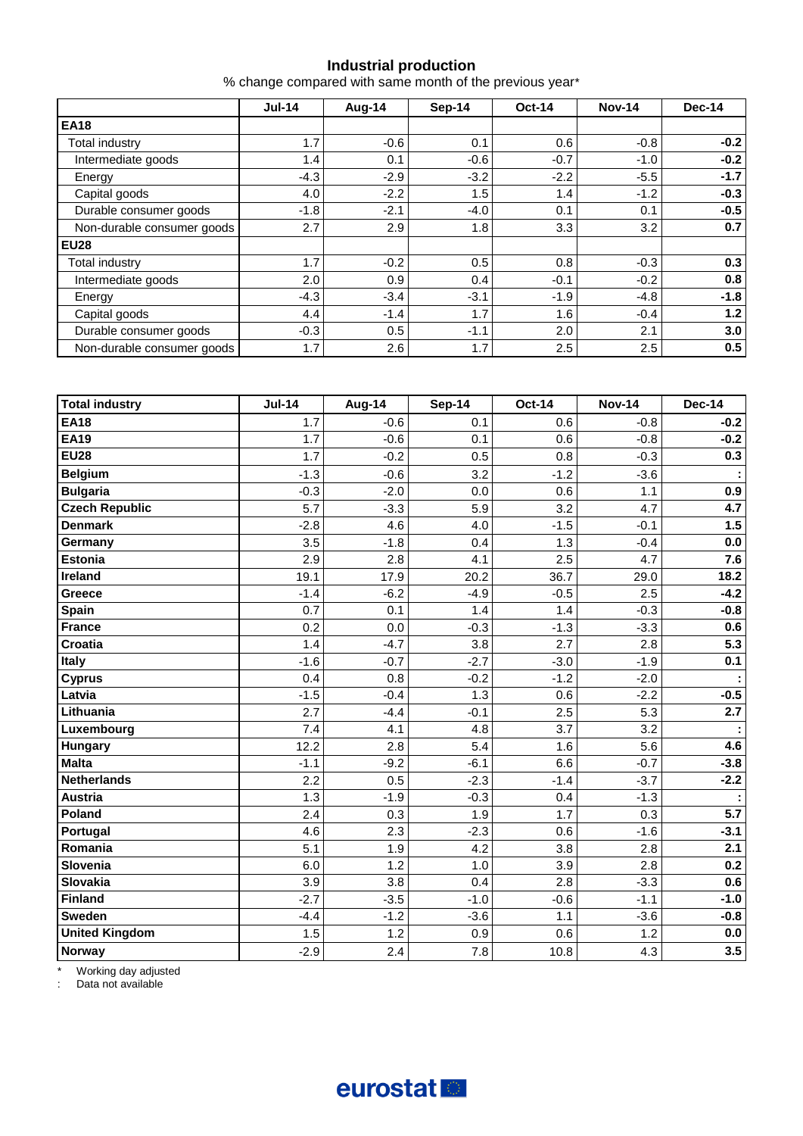#### **Industrial production**

% change compared with same month of the previous year\*

|                            | $Jul-14$ | Aug-14 | Sep-14 | <b>Oct-14</b> | <b>Nov-14</b> | Dec-14 |  |
|----------------------------|----------|--------|--------|---------------|---------------|--------|--|
| <b>EA18</b>                |          |        |        |               |               |        |  |
| Total industry             | 1.7      | $-0.6$ | 0.1    | 0.6           | $-0.8$        | $-0.2$ |  |
| Intermediate goods         | 1.4      | 0.1    | $-0.6$ | $-0.7$        | $-1.0$        | $-0.2$ |  |
| Energy                     | $-4.3$   | $-2.9$ | $-3.2$ | $-2.2$        | $-5.5$        | $-1.7$ |  |
| Capital goods              | 4.0      | $-2.2$ | 1.5    | 1.4           | $-1.2$        | $-0.3$ |  |
| Durable consumer goods     | $-1.8$   | $-2.1$ | $-4.0$ | 0.1           | 0.1           | $-0.5$ |  |
| Non-durable consumer goods | 2.7      | 2.9    | 1.8    | 3.3           | 3.2           | 0.7    |  |
| <b>EU28</b>                |          |        |        |               |               |        |  |
| Total industry             | 1.7      | $-0.2$ | 0.5    | 0.8           | $-0.3$        | 0.3    |  |
| Intermediate goods         | 2.0      | 0.9    | 0.4    | $-0.1$        | $-0.2$        | 0.8    |  |
| Energy                     | $-4.3$   | $-3.4$ | $-3.1$ | $-1.9$        | $-4.8$        | $-1.8$ |  |
| Capital goods              | 4.4      | $-1.4$ | 1.7    | 1.6           | $-0.4$        | 1.2    |  |
| Durable consumer goods     | $-0.3$   | 0.5    | $-1.1$ | 2.0           | 2.1           | 3.0    |  |
| Non-durable consumer goods | 1.7      | 2.6    | 1.7    | 2.5           | 2.5           | 0.5    |  |

| <b>Total industry</b> | <b>Jul-14</b> | Aug-14 | <b>Sep-14</b> | Oct-14 | <b>Nov-14</b> | <b>Dec-14</b> |
|-----------------------|---------------|--------|---------------|--------|---------------|---------------|
| <b>EA18</b>           | 1.7           | $-0.6$ | 0.1           | 0.6    | $-0.8$        | $-0.2$        |
| <b>EA19</b>           | 1.7           | $-0.6$ | 0.1           | 0.6    | $-0.8$        | $-0.2$        |
| <b>EU28</b>           | 1.7           | $-0.2$ | 0.5           | 0.8    | $-0.3$        | 0.3           |
| <b>Belgium</b>        | $-1.3$        | $-0.6$ | 3.2           | $-1.2$ | $-3.6$        |               |
| <b>Bulgaria</b>       | $-0.3$        | $-2.0$ | 0.0           | 0.6    | 1.1           | 0.9           |
| <b>Czech Republic</b> | 5.7           | $-3.3$ | 5.9           | 3.2    | 4.7           | 4.7           |
| <b>Denmark</b>        | $-2.8$        | 4.6    | 4.0           | $-1.5$ | $-0.1$        | 1.5           |
| Germany               | 3.5           | $-1.8$ | 0.4           | 1.3    | $-0.4$        | $0.0\,$       |
| Estonia               | 2.9           | 2.8    | 4.1           | 2.5    | 4.7           | 7.6           |
| Ireland               | 19.1          | 17.9   | 20.2          | 36.7   | 29.0          | 18.2          |
| Greece                | $-1.4$        | $-6.2$ | $-4.9$        | $-0.5$ | 2.5           | $-4.2$        |
| <b>Spain</b>          | 0.7           | 0.1    | 1.4           | 1.4    | $-0.3$        | $-0.8$        |
| <b>France</b>         | 0.2           | 0.0    | $-0.3$        | $-1.3$ | $-3.3$        | 0.6           |
| <b>Croatia</b>        | 1.4           | $-4.7$ | 3.8           | 2.7    | 2.8           | 5.3           |
| Italy                 | $-1.6$        | $-0.7$ | $-2.7$        | $-3.0$ | $-1.9$        | 0.1           |
| <b>Cyprus</b>         | 0.4           | 0.8    | $-0.2$        | $-1.2$ | $-2.0$        |               |
| Latvia                | $-1.5$        | $-0.4$ | 1.3           | 0.6    | $-2.2$        | $-0.5$        |
| Lithuania             | 2.7           | $-4.4$ | $-0.1$        | 2.5    | 5.3           | 2.7           |
| Luxembourg            | 7.4           | 4.1    | 4.8           | 3.7    | 3.2           |               |
| <b>Hungary</b>        | 12.2          | 2.8    | 5.4           | 1.6    | 5.6           | 4.6           |
| <b>Malta</b>          | $-1.1$        | $-9.2$ | $-6.1$        | 6.6    | $-0.7$        | $-3.8$        |
| <b>Netherlands</b>    | 2.2           | 0.5    | $-2.3$        | $-1.4$ | $-3.7$        | $-2.2$        |
| <b>Austria</b>        | 1.3           | $-1.9$ | $-0.3$        | 0.4    | $-1.3$        |               |
| Poland                | 2.4           | 0.3    | 1.9           | 1.7    | 0.3           | 5.7           |
| Portugal              | 4.6           | 2.3    | $-2.3$        | 0.6    | $-1.6$        | $-3.1$        |
| Romania               | 5.1           | 1.9    | 4.2           | 3.8    | 2.8           | 2.1           |
| Slovenia              | 6.0           | 1.2    | 1.0           | 3.9    | 2.8           | 0.2           |
| Slovakia              | 3.9           | 3.8    | 0.4           | 2.8    | $-3.3$        | 0.6           |
| <b>Finland</b>        | $-2.7$        | $-3.5$ | $-1.0$        | $-0.6$ | $-1.1$        | $-1.0$        |
| <b>Sweden</b>         | $-4.4$        | $-1.2$ | $-3.6$        | 1.1    | $-3.6$        | $-0.8$        |
| <b>United Kingdom</b> | 1.5           | 1.2    | 0.9           | 0.6    | 1.2           | $0.0\,$       |
| Norway                | $-2.9$        | 2.4    | 7.8           | 10.8   | 4.3           | 3.5           |

\* Working day adjusted

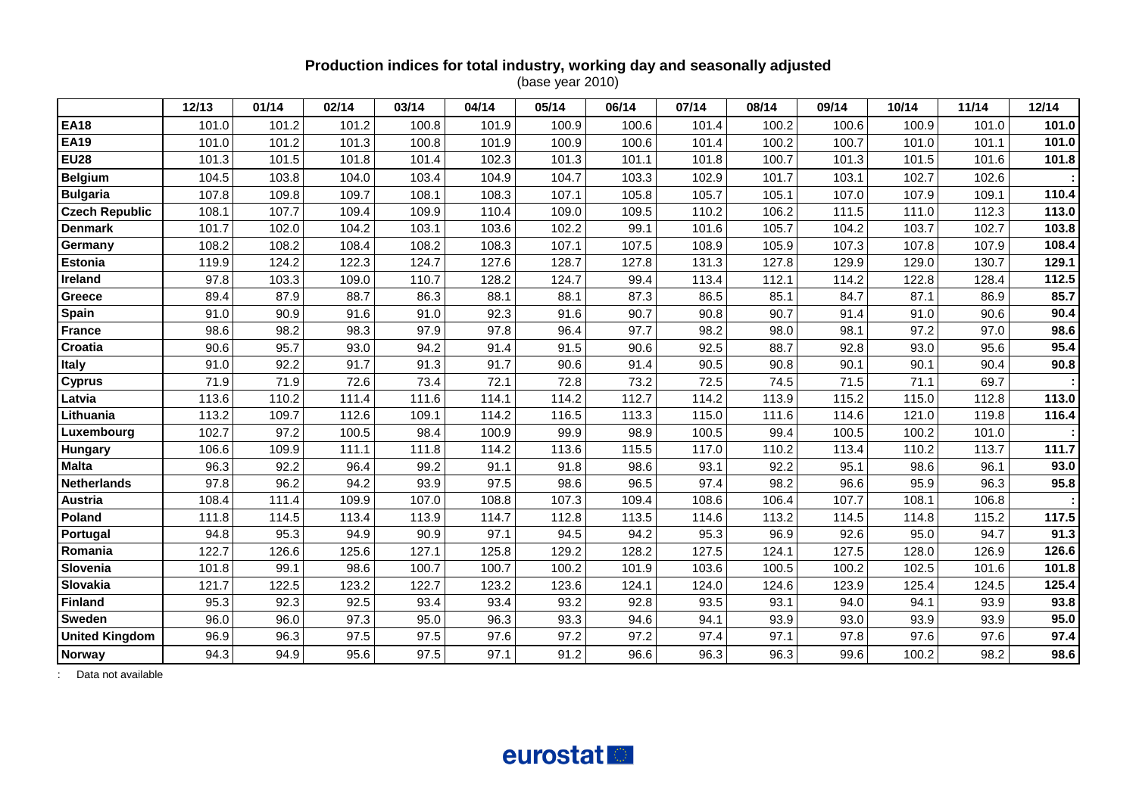### **Production indices for total industry, working day and seasonally adjusted**

(base year 2010)

|                       | 12/13 | 01/14 | 02/14 | 03/14 | 04/14 | 05/14 | 06/14 | 07/14 | 08/14 | 09/14 | 10/14 | 11/14 | 12/14 |
|-----------------------|-------|-------|-------|-------|-------|-------|-------|-------|-------|-------|-------|-------|-------|
| <b>EA18</b>           | 101.0 | 101.2 | 101.2 | 100.8 | 101.9 | 100.9 | 100.6 | 101.4 | 100.2 | 100.6 | 100.9 | 101.0 | 101.0 |
| <b>EA19</b>           | 101.0 | 101.2 | 101.3 | 100.8 | 101.9 | 100.9 | 100.6 | 101.4 | 100.2 | 100.7 | 101.0 | 101.1 | 101.0 |
| <b>EU28</b>           | 101.3 | 101.5 | 101.8 | 101.4 | 102.3 | 101.3 | 101.1 | 101.8 | 100.7 | 101.3 | 101.5 | 101.6 | 101.8 |
| <b>Belgium</b>        | 104.5 | 103.8 | 104.0 | 103.4 | 104.9 | 104.7 | 103.3 | 102.9 | 101.7 | 103.1 | 102.7 | 102.6 |       |
| <b>Bulgaria</b>       | 107.8 | 109.8 | 109.7 | 108.1 | 108.3 | 107.1 | 105.8 | 105.7 | 105.1 | 107.0 | 107.9 | 109.1 | 110.4 |
| <b>Czech Republic</b> | 108.1 | 107.7 | 109.4 | 109.9 | 110.4 | 109.0 | 109.5 | 110.2 | 106.2 | 111.5 | 111.0 | 112.3 | 113.0 |
| <b>Denmark</b>        | 101.7 | 102.0 | 104.2 | 103.1 | 103.6 | 102.2 | 99.1  | 101.6 | 105.7 | 104.2 | 103.7 | 102.7 | 103.8 |
| Germany               | 108.2 | 108.2 | 108.4 | 108.2 | 108.3 | 107.1 | 107.5 | 108.9 | 105.9 | 107.3 | 107.8 | 107.9 | 108.4 |
| Estonia               | 119.9 | 124.2 | 122.3 | 124.7 | 127.6 | 128.7 | 127.8 | 131.3 | 127.8 | 129.9 | 129.0 | 130.7 | 129.1 |
| Ireland               | 97.8  | 103.3 | 109.0 | 110.7 | 128.2 | 124.7 | 99.4  | 113.4 | 112.1 | 114.2 | 122.8 | 128.4 | 112.5 |
| Greece                | 89.4  | 87.9  | 88.7  | 86.3  | 88.1  | 88.1  | 87.3  | 86.5  | 85.1  | 84.7  | 87.1  | 86.9  | 85.7  |
| Spain                 | 91.0  | 90.9  | 91.6  | 91.0  | 92.3  | 91.6  | 90.7  | 90.8  | 90.7  | 91.4  | 91.0  | 90.6  | 90.4  |
| <b>France</b>         | 98.6  | 98.2  | 98.3  | 97.9  | 97.8  | 96.4  | 97.7  | 98.2  | 98.0  | 98.1  | 97.2  | 97.0  | 98.6  |
| Croatia               | 90.6  | 95.7  | 93.0  | 94.2  | 91.4  | 91.5  | 90.6  | 92.5  | 88.7  | 92.8  | 93.0  | 95.6  | 95.4  |
| <b>Italy</b>          | 91.0  | 92.2  | 91.7  | 91.3  | 91.7  | 90.6  | 91.4  | 90.5  | 90.8  | 90.1  | 90.1  | 90.4  | 90.8  |
| <b>Cyprus</b>         | 71.9  | 71.9  | 72.6  | 73.4  | 72.1  | 72.8  | 73.2  | 72.5  | 74.5  | 71.5  | 71.1  | 69.7  |       |
| Latvia                | 113.6 | 110.2 | 111.4 | 111.6 | 114.1 | 114.2 | 112.7 | 114.2 | 113.9 | 115.2 | 115.0 | 112.8 | 113.0 |
| Lithuania             | 113.2 | 109.7 | 112.6 | 109.1 | 114.2 | 116.5 | 113.3 | 115.0 | 111.6 | 114.6 | 121.0 | 119.8 | 116.4 |
| Luxembourg            | 102.7 | 97.2  | 100.5 | 98.4  | 100.9 | 99.9  | 98.9  | 100.5 | 99.4  | 100.5 | 100.2 | 101.0 |       |
| Hungary               | 106.6 | 109.9 | 111.1 | 111.8 | 114.2 | 113.6 | 115.5 | 117.0 | 110.2 | 113.4 | 110.2 | 113.7 | 111.7 |
| <b>Malta</b>          | 96.3  | 92.2  | 96.4  | 99.2  | 91.1  | 91.8  | 98.6  | 93.1  | 92.2  | 95.1  | 98.6  | 96.1  | 93.0  |
| <b>Netherlands</b>    | 97.8  | 96.2  | 94.2  | 93.9  | 97.5  | 98.6  | 96.5  | 97.4  | 98.2  | 96.6  | 95.9  | 96.3  | 95.8  |
| Austria               | 108.4 | 111.4 | 109.9 | 107.0 | 108.8 | 107.3 | 109.4 | 108.6 | 106.4 | 107.7 | 108.1 | 106.8 |       |
| Poland                | 111.8 | 114.5 | 113.4 | 113.9 | 114.7 | 112.8 | 113.5 | 114.6 | 113.2 | 114.5 | 114.8 | 115.2 | 117.5 |
| Portugal              | 94.8  | 95.3  | 94.9  | 90.9  | 97.1  | 94.5  | 94.2  | 95.3  | 96.9  | 92.6  | 95.0  | 94.7  | 91.3  |
| Romania               | 122.7 | 126.6 | 125.6 | 127.1 | 125.8 | 129.2 | 128.2 | 127.5 | 124.1 | 127.5 | 128.0 | 126.9 | 126.6 |
| Slovenia              | 101.8 | 99.1  | 98.6  | 100.7 | 100.7 | 100.2 | 101.9 | 103.6 | 100.5 | 100.2 | 102.5 | 101.6 | 101.8 |
| Slovakia              | 121.7 | 122.5 | 123.2 | 122.7 | 123.2 | 123.6 | 124.1 | 124.0 | 124.6 | 123.9 | 125.4 | 124.5 | 125.4 |
| <b>Finland</b>        | 95.3  | 92.3  | 92.5  | 93.4  | 93.4  | 93.2  | 92.8  | 93.5  | 93.1  | 94.0  | 94.1  | 93.9  | 93.8  |
| <b>Sweden</b>         | 96.0  | 96.0  | 97.3  | 95.0  | 96.3  | 93.3  | 94.6  | 94.1  | 93.9  | 93.0  | 93.9  | 93.9  | 95.0  |
| <b>United Kingdom</b> | 96.9  | 96.3  | 97.5  | 97.5  | 97.6  | 97.2  | 97.2  | 97.4  | 97.1  | 97.8  | 97.6  | 97.6  | 97.4  |
| <b>Norway</b>         | 94.3  | 94.9  | 95.6  | 97.5  | 97.1  | 91.2  | 96.6  | 96.3  | 96.3  | 99.6  | 100.2 | 98.2  | 98.6  |